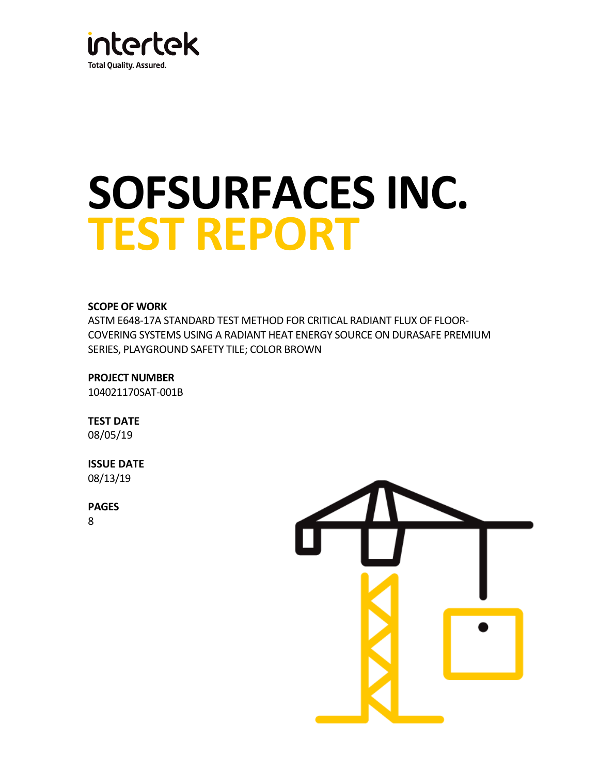

# **SOFSURFACES INC. TEST REPORT**

# **SCOPE OF WORK**

ASTM E648-17A STANDARD TEST METHOD FOR CRITICAL RADIANT FLUX OF FLOOR-COVERING SYSTEMS USING A RADIANT HEAT ENERGY SOURCE ON DURASAFE PREMIUM SERIES, PLAYGROUND SAFETY TILE; COLOR BROWN

**PROJECT NUMBER** 104021170SAT-001B

**TEST DATE** 08/05/19

**ISSUE DATE**

08/13/19

**PAGES**

8

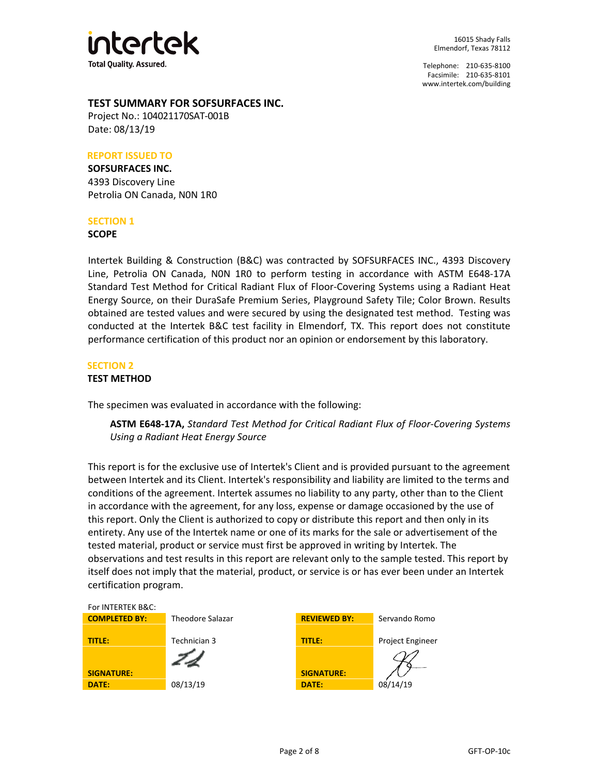

## **TEST SUMMARY FOR SOFSURFACES INC.**

Project No.: 104021170SAT-001B Date: 08/13/19

#### **REPORT ISSUED TO**

#### **SOFSURFACES INC.**

4393 Discovery Line Petrolia ON Canada, N0N 1R0

#### **SECTION 1**

#### **SCOPE**

Intertek Building & Construction (B&C) was contracted by SOFSURFACES INC., 4393 Discovery Line, Petrolia ON Canada, N0N 1R0 to perform testing in accordance with ASTM E648-17A Standard Test Method for Critical Radiant Flux of Floor-Covering Systems using a Radiant Heat Energy Source, on their DuraSafe Premium Series, Playground Safety Tile; Color Brown. Results obtained are tested values and were secured by using the designated test method. Testing was conducted at the Intertek B&C test facility in Elmendorf, TX. This report does not constitute performance certification of this product nor an opinion or endorsement by this laboratory.

#### **SECTION 2**

#### **TEST METHOD**

The specimen was evaluated in accordance with the following:

**ASTM E648-17A,** *Standard Test Method for Critical Radiant Flux of Floor-Covering Systems Using a Radiant Heat Energy Source*

This report is for the exclusive use of Intertek's Client and is provided pursuant to the agreement between Intertek and its Client. Intertek's responsibility and liability are limited to the terms and conditions of the agreement. Intertek assumes no liability to any party, other than to the Client in accordance with the agreement, for any loss, expense or damage occasioned by the use of this report. Only the Client is authorized to copy or distribute this report and then only in its entirety. Any use of the Intertek name or one of its marks for the sale or advertisement of the tested material, product or service must first be approved in writing by Intertek. The observations and test results in this report are relevant only to the sample tested. This report by itself does not imply that the material, product, or service is or has ever been under an Intertek certification program.

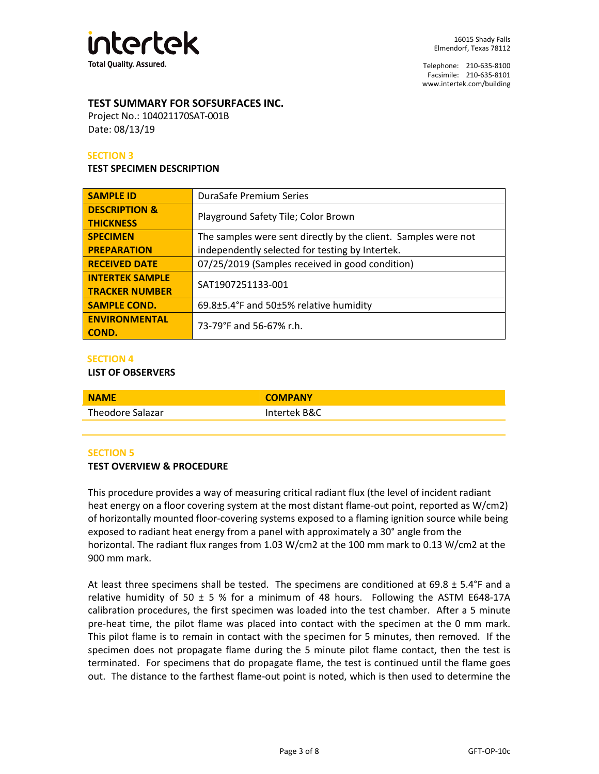

## **TEST SUMMARY FOR SOFSURFACES INC.**

Project No.: 104021170SAT-001B Date: 08/13/19

#### **SECTION 3**

#### **TEST SPECIMEN DESCRIPTION**

| <b>SAMPLE ID</b>                             | <b>DuraSafe Premium Series</b>                                 |  |  |
|----------------------------------------------|----------------------------------------------------------------|--|--|
| <b>DESCRIPTION &amp;</b><br><b>THICKNESS</b> | Playground Safety Tile; Color Brown                            |  |  |
| <b>SPECIMEN</b>                              | The samples were sent directly by the client. Samples were not |  |  |
| <b>PREPARATION</b>                           | independently selected for testing by Intertek.                |  |  |
| <b>RECEIVED DATE</b>                         | 07/25/2019 (Samples received in good condition)                |  |  |
| <b>INTERTEK SAMPLE</b>                       | SAT1907251133-001                                              |  |  |
| <b>TRACKER NUMBER</b>                        |                                                                |  |  |
| <b>SAMPLE COND.</b>                          | 69.8±5.4°F and 50±5% relative humidity                         |  |  |
| <b>ENVIRONMENTAL</b><br>COND.                | 73-79°F and 56-67% r.h.                                        |  |  |

#### **SECTION 4**

#### **LIST OF OBSERVERS**

| <b>NAME</b>      | <b>COMPANY</b> |
|------------------|----------------|
| Theodore Salazar | Intertek B&C   |

#### **SECTION 5**

#### **TEST OVERVIEW & PROCEDURE**

This procedure provides a way of measuring critical radiant flux (the level of incident radiant heat energy on a floor covering system at the most distant flame-out point, reported as W/cm2) of horizontally mounted floor-covering systems exposed to a flaming ignition source while being exposed to radiant heat energy from a panel with approximately a 30° angle from the horizontal. The radiant flux ranges from 1.03 W/cm2 at the 100 mm mark to 0.13 W/cm2 at the 900 mm mark.

At least three specimens shall be tested. The specimens are conditioned at  $69.8 \pm 5.4^{\circ}$ F and a relative humidity of 50  $\pm$  5 % for a minimum of 48 hours. Following the ASTM E648-17A calibration procedures, the first specimen was loaded into the test chamber. After a 5 minute pre-heat time, the pilot flame was placed into contact with the specimen at the 0 mm mark. This pilot flame is to remain in contact with the specimen for 5 minutes, then removed. If the specimen does not propagate flame during the 5 minute pilot flame contact, then the test is terminated. For specimens that do propagate flame, the test is continued until the flame goes out. The distance to the farthest flame-out point is noted, which is then used to determine the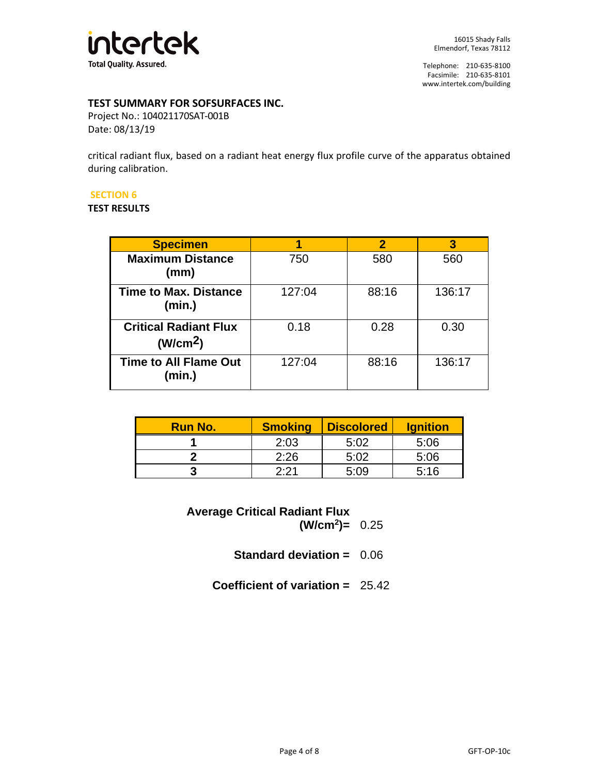

# **TEST SUMMARY FOR SOFSURFACES INC.**

Project No.: 104021170SAT-001B Date: 08/13/19

critical radiant flux, based on a radiant heat energy flux profile curve of the apparatus obtained during calibration.

#### **SECTION 6**

#### **TEST RESULTS**

| <b>Specimen</b>                                      |        | $\boldsymbol{p}$ |        |
|------------------------------------------------------|--------|------------------|--------|
| <b>Maximum Distance</b><br>(mm)                      | 750    | 580              | 560    |
| <b>Time to Max. Distance</b><br>(min.)               | 127:04 | 88:16            | 136:17 |
| <b>Critical Radiant Flux</b><br>(W/cm <sup>2</sup> ) | 0.18   | 0.28             | 0.30   |
| <b>Time to All Flame Out</b><br>(min.)               | 127:04 | 88:16            | 136:17 |

| <b>Run No.</b> | <b>Smoking</b> | <b>Discolored</b> | <b>Ignition</b> |
|----------------|----------------|-------------------|-----------------|
|                | 2:03           | 5:02              | 5:06            |
|                | 2:26           | 5:02              | 5:06            |
|                | つ・つ 1          | ר∙ה ק             | 5.16            |

**Average Critical Radiant Flux (W/cm2)=** 0.25

**Standard deviation =** 0.06

**Coefficient of variation =** 25.42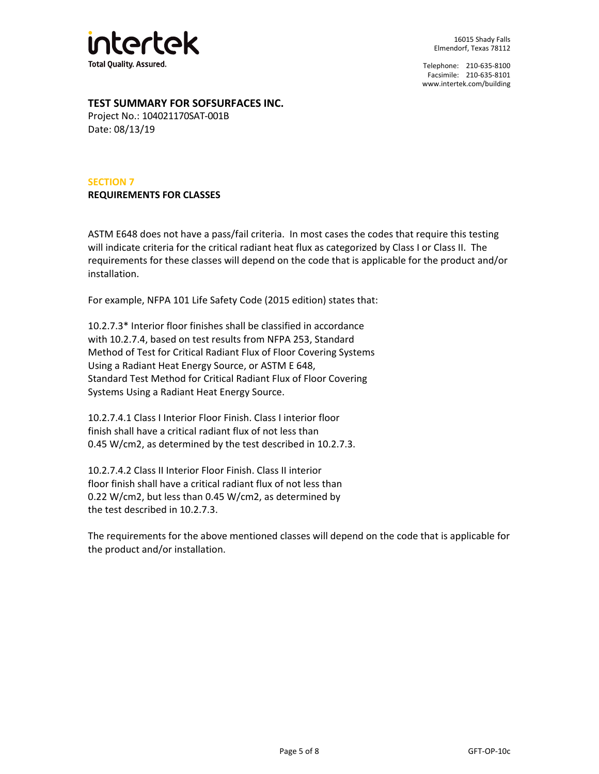

## **TEST SUMMARY FOR SOFSURFACES INC.**

Project No.: 104021170SAT-001B Date: 08/13/19

# **SECTION 7 REQUIREMENTS FOR CLASSES**

ASTM E648 does not have a pass/fail criteria. In most cases the codes that require this testing will indicate criteria for the critical radiant heat flux as categorized by Class I or Class II. The requirements for these classes will depend on the code that is applicable for the product and/or installation.

For example, NFPA 101 Life Safety Code (2015 edition) states that:

10.2.7.3\* Interior floor finishes shall be classified in accordance with 10.2.7.4, based on test results from NFPA 253, Standard Method of Test for Critical Radiant Flux of Floor Covering Systems Using a Radiant Heat Energy Source, or ASTM E 648, Standard Test Method for Critical Radiant Flux of Floor Covering Systems Using a Radiant Heat Energy Source.

10.2.7.4.1 Class I Interior Floor Finish. Class I interior floor finish shall have a critical radiant flux of not less than 0.45 W/cm2, as determined by the test described in 10.2.7.3.

10.2.7.4.2 Class II Interior Floor Finish. Class II interior floor finish shall have a critical radiant flux of not less than 0.22 W/cm2, but less than 0.45 W/cm2, as determined by the test described in 10.2.7.3.

The requirements for the above mentioned classes will depend on the code that is applicable for the product and/or installation.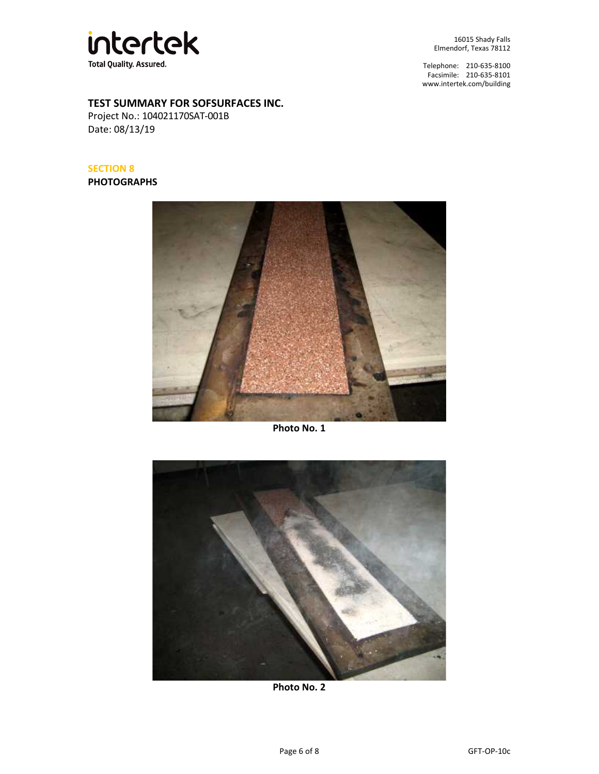

16015 Shady Falls Elmendorf, Texas 78112

Telephone: 210-635-8100 Facsimile: 210-635-8101 [www.intertek.com/building](http://www.intertek.com/building)

# **TEST SUMMARY FOR SOFSURFACES INC.**

Project No.: 104021170SAT-001B Date: 08/13/19

# **SECTION 8**

**PHOTOGRAPHS**



**Photo No. 1**



**Photo No. 2**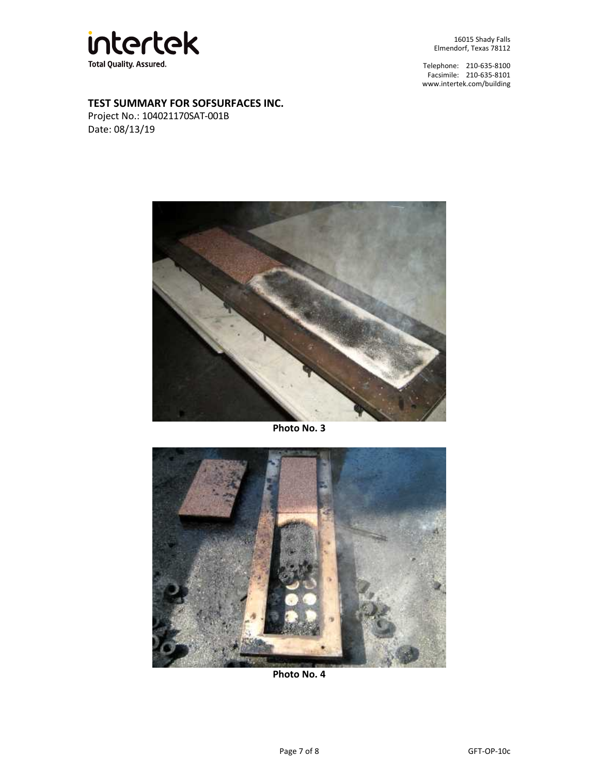

16015 Shady Falls Elmendorf, Texas 78112

Telephone: 210-635-8100 Facsimile: 210-635-8101 [www.intertek.com/building](http://www.intertek.com/building)

# **TEST SUMMARY FOR SOFSURFACES INC.**

Project No.: 104021170SAT-001B Date: 08/13/19



**Photo No. 3**



**Photo No. 4**